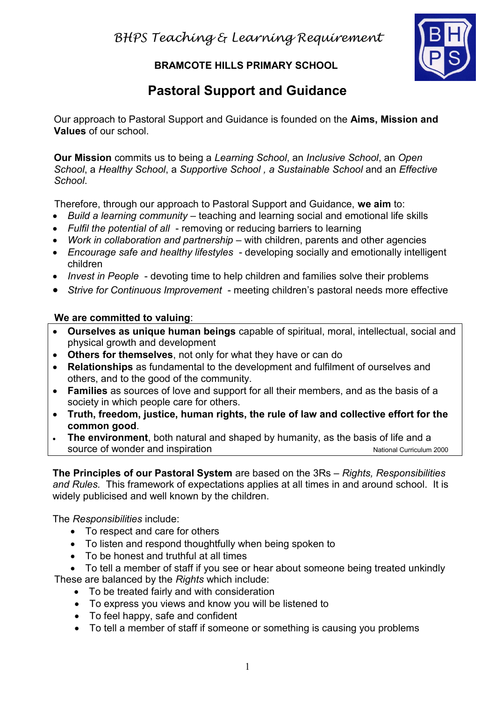**BRAMCOTE HILLS PRIMARY SCHOOL**



# **Pastoral Support and Guidance**

Our approach to Pastoral Support and Guidance is founded on the **Aims, Mission and Values** of our school.

**Our Mission** commits us to being a *Learning School*, an *Inclusive School*, an *Open School*, a *Healthy School*, a *Supportive School , a Sustainable School* and an *Effective School*.

Therefore, through our approach to Pastoral Support and Guidance, **we aim** to:

- *Build a learning community* teaching and learning social and emotional life skills
- *Fulfil the potential of all* removing or reducing barriers to learning
- *Work in collaboration and partnership* with children, parents and other agencies
- *Encourage safe and healthy lifestyles* developing socially and emotionally intelligent children
- *Invest in People* devoting time to help children and families solve their problems
- *Strive for Continuous Improvement* meeting children's pastoral needs more effective

### **We are committed to valuing**:

- **Ourselves as unique human beings** capable of spiritual, moral, intellectual, social and physical growth and development
- **Others for themselves**, not only for what they have or can do
- **Relationships** as fundamental to the development and fulfilment of ourselves and others, and to the good of the community.
- **Families** as sources of love and support for all their members, and as the basis of a society in which people care for others.
- **Truth, freedom, justice, human rights, the rule of law and collective effort for the common good**.
- **The environment**, both natural and shaped by humanity, as the basis of life and a source of wonder and inspiration National Curriculum 2000

**The Principles of our Pastoral System** are based on the 3Rs – *Rights, Responsibilities and Rules.* This framework of expectations applies at all times in and around school. It is widely publicised and well known by the children.

The *Responsibilities* include:

- To respect and care for others
- To listen and respond thoughtfully when being spoken to
- To be honest and truthful at all times
- To tell a member of staff if you see or hear about someone being treated unkindly These are balanced by the *Rights* which include:
	- To be treated fairly and with consideration
	- To express you views and know you will be listened to
	- To feel happy, safe and confident
	- To tell a member of staff if someone or something is causing you problems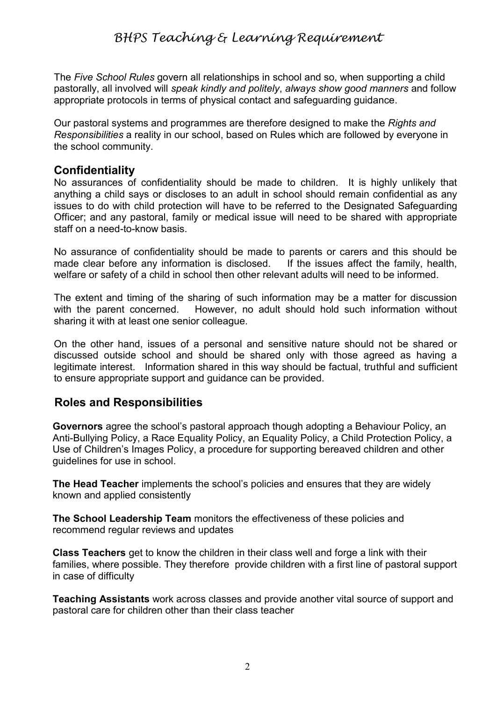The *Five School Rules* govern all relationships in school and so, when supporting a child pastorally, all involved will *speak kindly and politely*, *always show good manners* and follow appropriate protocols in terms of physical contact and safeguarding guidance.

Our pastoral systems and programmes are therefore designed to make the *Rights and Responsibilities* a reality in our school, based on Rules which are followed by everyone in the school community.

## **Confidentiality**

No assurances of confidentiality should be made to children. It is highly unlikely that anything a child says or discloses to an adult in school should remain confidential as any issues to do with child protection will have to be referred to the Designated Safeguarding Officer; and any pastoral, family or medical issue will need to be shared with appropriate staff on a need-to-know basis.

No assurance of confidentiality should be made to parents or carers and this should be made clear before any information is disclosed. If the issues affect the family, health, welfare or safety of a child in school then other relevant adults will need to be informed.

The extent and timing of the sharing of such information may be a matter for discussion with the parent concerned. However, no adult should hold such information without sharing it with at least one senior colleague.

On the other hand, issues of a personal and sensitive nature should not be shared or discussed outside school and should be shared only with those agreed as having a legitimate interest. Information shared in this way should be factual, truthful and sufficient to ensure appropriate support and guidance can be provided.

## **Roles and Responsibilities**

**Governors** agree the school's pastoral approach though adopting a Behaviour Policy, an Anti-Bullying Policy, a Race Equality Policy, an Equality Policy, a Child Protection Policy, a Use of Children's Images Policy, a procedure for supporting bereaved children and other guidelines for use in school.

**The Head Teacher** implements the school's policies and ensures that they are widely known and applied consistently

**The School Leadership Team** monitors the effectiveness of these policies and recommend regular reviews and updates

**Class Teachers** get to know the children in their class well and forge a link with their families, where possible. They therefore provide children with a first line of pastoral support in case of difficulty

**Teaching Assistants** work across classes and provide another vital source of support and pastoral care for children other than their class teacher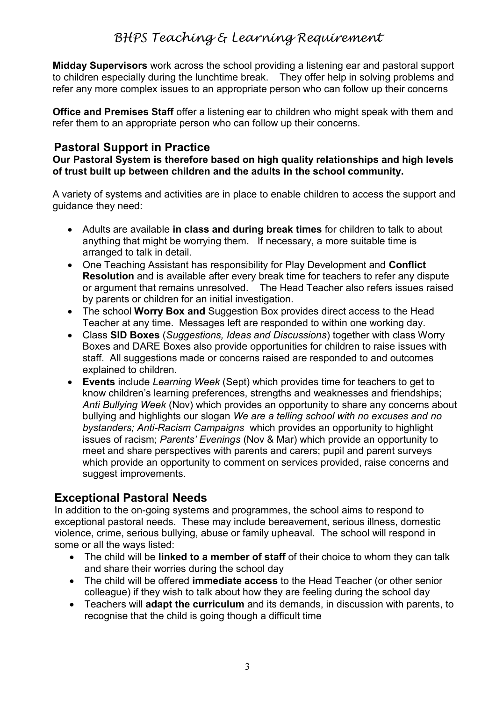## *BHPS Teaching & Learning Requirement*

**Midday Supervisors** work across the school providing a listening ear and pastoral support to children especially during the lunchtime break. They offer help in solving problems and refer any more complex issues to an appropriate person who can follow up their concerns

**Office and Premises Staff** offer a listening ear to children who might speak with them and refer them to an appropriate person who can follow up their concerns.

#### **Pastoral Support in Practice**

**Our Pastoral System is therefore based on high quality relationships and high levels of trust built up between children and the adults in the school community.**

A variety of systems and activities are in place to enable children to access the support and guidance they need:

- Adults are available **in class and during break times** for children to talk to about anything that might be worrying them. If necessary, a more suitable time is arranged to talk in detail.
- One Teaching Assistant has responsibility for Play Development and **Conflict Resolution** and is available after every break time for teachers to refer any dispute or argument that remains unresolved. The Head Teacher also refers issues raised by parents or children for an initial investigation.
- The school **Worry Box and** Suggestion Box provides direct access to the Head Teacher at any time. Messages left are responded to within one working day.
- Class **SID Boxes** (*Suggestions, Ideas and Discussions*) together with class Worry Boxes and DARE Boxes also provide opportunities for children to raise issues with staff. All suggestions made or concerns raised are responded to and outcomes explained to children.
- **Events** include *Learning Week* (Sept) which provides time for teachers to get to know children's learning preferences, strengths and weaknesses and friendships; *Anti Bullying Week* (Nov) which provides an opportunity to share any concerns about bullying and highlights our slogan *We are a telling school with no excuses and no bystanders; Anti-Racism Campaigns* which provides an opportunity to highlight issues of racism; *Parents' Evenings* (Nov & Mar) which provide an opportunity to meet and share perspectives with parents and carers; pupil and parent surveys which provide an opportunity to comment on services provided, raise concerns and suggest improvements.

### **Exceptional Pastoral Needs**

In addition to the on-going systems and programmes, the school aims to respond to exceptional pastoral needs. These may include bereavement, serious illness, domestic violence, crime, serious bullying, abuse or family upheaval. The school will respond in some or all the ways listed:

- The child will be **linked to a member of staff** of their choice to whom they can talk and share their worries during the school day
- The child will be offered **immediate access** to the Head Teacher (or other senior colleague) if they wish to talk about how they are feeling during the school day
- Teachers will **adapt the curriculum** and its demands, in discussion with parents, to recognise that the child is going though a difficult time